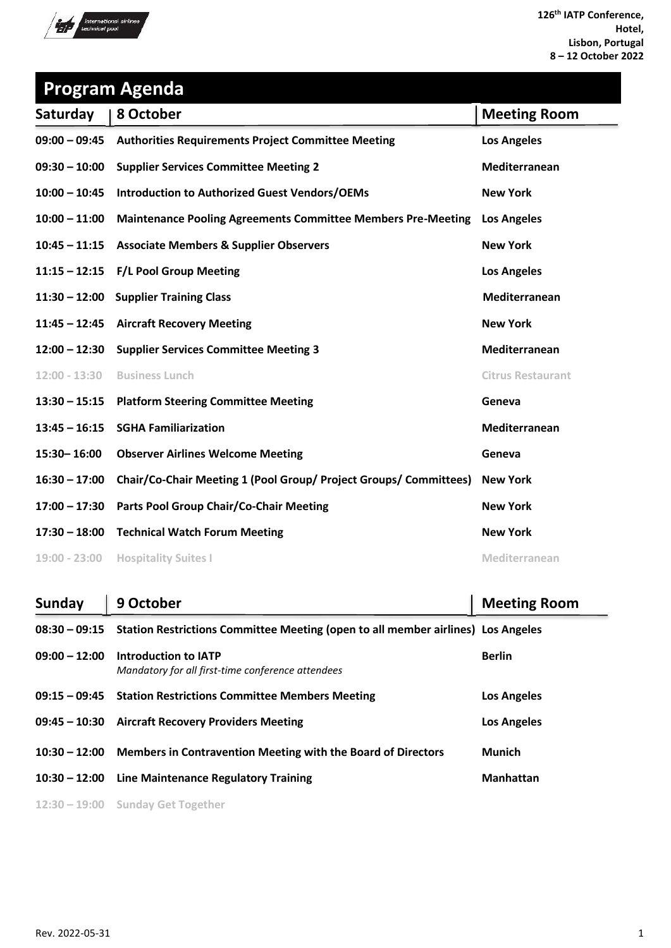

| <b>Program Agenda</b> |                                                                     |                          |  |
|-----------------------|---------------------------------------------------------------------|--------------------------|--|
| Saturday              | 8 October                                                           | <b>Meeting Room</b>      |  |
|                       | 09:00 - 09:45 Authorities Requirements Project Committee Meeting    | <b>Los Angeles</b>       |  |
|                       | 09:30 - 10:00 Supplier Services Committee Meeting 2                 | Mediterranean            |  |
| $10:00 - 10:45$       | <b>Introduction to Authorized Guest Vendors/OEMs</b>                | <b>New York</b>          |  |
| $10:00 - 11:00$       | <b>Maintenance Pooling Agreements Committee Members Pre-Meeting</b> | <b>Los Angeles</b>       |  |
|                       | 10:45 - 11:15 Associate Members & Supplier Observers                | <b>New York</b>          |  |
|                       | 11:15 - 12:15 F/L Pool Group Meeting                                | <b>Los Angeles</b>       |  |
|                       | 11:30 - 12:00 Supplier Training Class                               | Mediterranean            |  |
|                       | 11:45 - 12:45 Aircraft Recovery Meeting                             | <b>New York</b>          |  |
|                       | 12:00 - 12:30 Supplier Services Committee Meeting 3                 | Mediterranean            |  |
| $12:00 - 13:30$       | <b>Business Lunch</b>                                               | <b>Citrus Restaurant</b> |  |
| $13:30 - 15:15$       | <b>Platform Steering Committee Meeting</b>                          | Geneva                   |  |
| $13:45 - 16:15$       | <b>SGHA Familiarization</b>                                         | Mediterranean            |  |
| 15:30-16:00           | <b>Observer Airlines Welcome Meeting</b>                            | Geneva                   |  |
| $16:30 - 17:00$       | Chair/Co-Chair Meeting 1 (Pool Group/ Project Groups/ Committees)   | <b>New York</b>          |  |
| $17:00 - 17:30$       | Parts Pool Group Chair/Co-Chair Meeting                             | <b>New York</b>          |  |
|                       | 17:30 - 18:00 Technical Watch Forum Meeting                         | <b>New York</b>          |  |
| 19:00 - 23:00         | <b>Hospitality Suites I</b>                                         | Mediterranean            |  |

| Sunday          | 9 October                                                                        | <b>Meeting Room</b> |
|-----------------|----------------------------------------------------------------------------------|---------------------|
| $08:30 - 09:15$ | Station Restrictions Committee Meeting (open to all member airlines) Los Angeles |                     |
| $09:00 - 12:00$ | Introduction to IATP<br>Mandatory for all first-time conference attendees        | <b>Berlin</b>       |
|                 | 09:15 - 09:45 Station Restrictions Committee Members Meeting                     | <b>Los Angeles</b>  |
|                 | 09:45 - 10:30 Aircraft Recovery Providers Meeting                                | <b>Los Angeles</b>  |
| $10:30 - 12:00$ | <b>Members in Contravention Meeting with the Board of Directors</b>              | <b>Munich</b>       |
| $10:30 - 12:00$ | Line Maintenance Regulatory Training                                             | <b>Manhattan</b>    |
|                 | $12:30 - 19:00$ Sunday Get Together                                              |                     |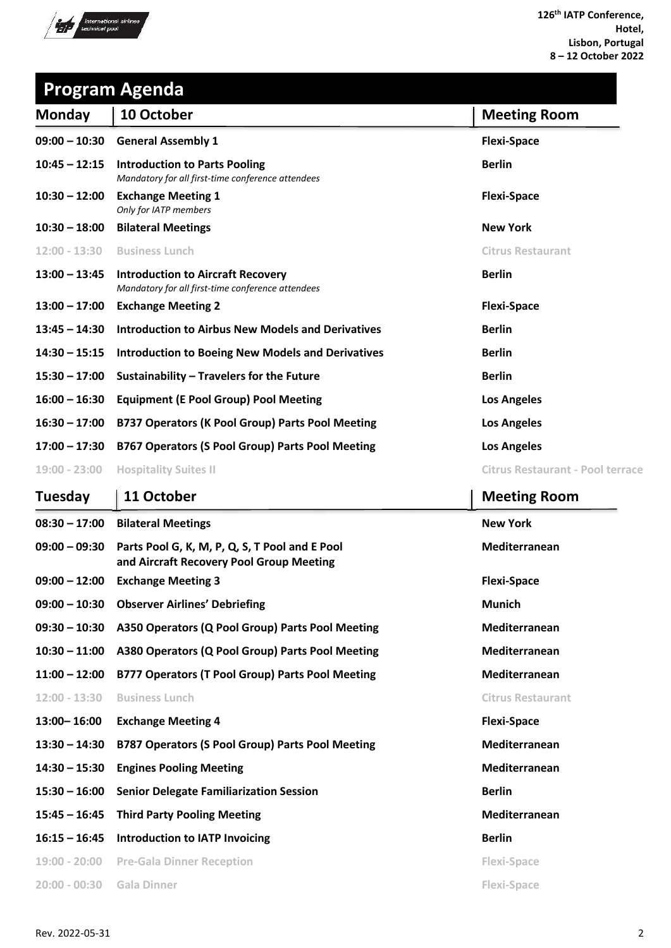

#### **Program Agenda**

| <b>Monday</b>   | 10 October                                                                                    | <b>Meeting Room</b>              |
|-----------------|-----------------------------------------------------------------------------------------------|----------------------------------|
| $09:00 - 10:30$ | <b>General Assembly 1</b>                                                                     | <b>Flexi-Space</b>               |
| $10:45 - 12:15$ | <b>Introduction to Parts Pooling</b><br>Mandatory for all first-time conference attendees     | <b>Berlin</b>                    |
| $10:30 - 12:00$ | <b>Exchange Meeting 1</b><br>Only for IATP members                                            | <b>Flexi-Space</b>               |
| $10:30 - 18:00$ | <b>Bilateral Meetings</b>                                                                     | <b>New York</b>                  |
| $12:00 - 13:30$ | <b>Business Lunch</b>                                                                         | <b>Citrus Restaurant</b>         |
| $13:00 - 13:45$ | <b>Introduction to Aircraft Recovery</b><br>Mandatory for all first-time conference attendees | <b>Berlin</b>                    |
| $13:00 - 17:00$ | <b>Exchange Meeting 2</b>                                                                     | <b>Flexi-Space</b>               |
| $13:45 - 14:30$ | Introduction to Airbus New Models and Derivatives                                             | <b>Berlin</b>                    |
| $14:30 - 15:15$ | <b>Introduction to Boeing New Models and Derivatives</b>                                      | <b>Berlin</b>                    |
| $15:30 - 17:00$ | Sustainability - Travelers for the Future                                                     | <b>Berlin</b>                    |
| $16:00 - 16:30$ | <b>Equipment (E Pool Group) Pool Meeting</b>                                                  | <b>Los Angeles</b>               |
| $16:30 - 17:00$ | B737 Operators (K Pool Group) Parts Pool Meeting                                              | <b>Los Angeles</b>               |
| $17:00 - 17:30$ | <b>B767 Operators (S Pool Group) Parts Pool Meeting</b>                                       | <b>Los Angeles</b>               |
| $19:00 - 23:00$ | <b>Hospitality Suites II</b>                                                                  | Citrus Restaurant - Pool terrace |

#### **Tuesday** | 11 October **Meeting Room** | Meeting Room **08:30 – 17:00 Bilateral Meetings New York 09:00 – 09:30 Parts Pool G, K, M, P, Q, S, T Pool and E Pool Mediterranean and Aircraft Recovery Pool Group Meeting 09:00 – 12:00 Exchange Meeting 3 Flexi-Space 09:00 – 10:30 Observer Airlines' Debriefing Munich 09:30 – 10:30 A350 Operators (Q Pool Group) Parts Pool Meeting Mediterranean 10:30 – 11:00 A380 Operators (Q Pool Group) Parts Pool Meeting Mediterranean 11:00 – 12:00 B777 Operators (T Pool Group) Parts Pool Meeting Mediterranean**

**12:00 - 13:30 Business Lunch Citrus Restaurant**

| $12:00 - 13:30$ | <b>Business Lunch</b> |  |
|-----------------|-----------------------|--|
|                 |                       |  |

- **13:00– 16:00 Exchange Meeting 4 Flexi-Space**
- **13:30 – 14:30 B787 Operators (S Pool Group) Parts Pool Meeting Mediterranean**
- **14:30 – 15:30 Engines Pooling Meeting Mediterranean**
- **15:30 – 16:00 Senior Delegate Familiarization Session Berlin**
- **15:45 – 16:45 Third Party Pooling Meeting Mediterranean**
- **16:15 – 16:45 Introduction to IATP Invoicing Berlin**
- **19:00 - 20:00 Pre-Gala Dinner Reception Flexi-Space**
- **20:00 - 00:30 Gala Dinner Flexi-Space**